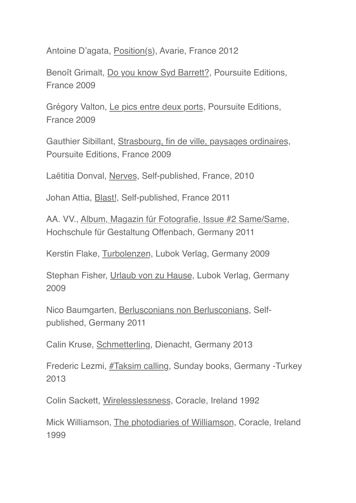Antoine D'agata, Position(s), Avarie, France 2012

Benoît Grimalt, Do you know Syd Barrett?, Poursuite Editions, France 2009

Grégory Valton, Le pics entre deux ports, Poursuite Editions, France 2009

Gauthier Sibillant, Strasbourg, fin de ville, paysages ordinaires, Poursuite Editions, France 2009

Laëtitia Donval, Nerves, Self-published, France, 2010

Johan Attia, Blast!, Self-published, France 2011

AA. VV., Album, Magazin für Fotografie, Issue #2 Same/Same, Hochschule für Gestaltung Offenbach, Germany 2011

Kerstin Flake, Turbolenzen, Lubok Verlag, Germany 2009

Stephan Fisher, Urlaub von zu Hause, Lubok Verlag, Germany 2009

Nico Baumgarten, Berlusconians non Berlusconians, Selfpublished, Germany 2011

Calin Kruse, Schmetterling, Dienacht, Germany 2013

Frederic Lezmi, #Taksim calling, Sunday books, Germany -Turkey 2013

Colin Sackett, Wirelesslessness, Coracle, Ireland 1992

Mick Williamson, The photodiaries of Williamson, Coracle, Ireland 1999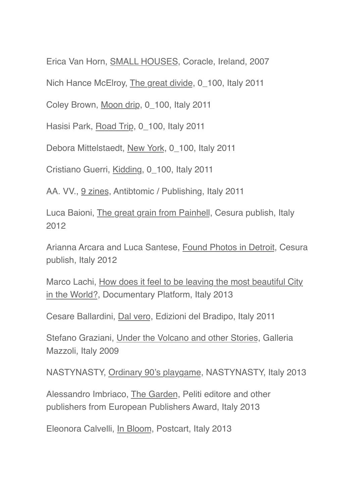Erica Van Horn, SMALL HOUSES, Coracle, Ireland, 2007

Nich Hance McElroy, The great divide, 0\_100, Italy 2011

Coley Brown, Moon drip, 0\_100, Italy 2011

Hasisi Park, Road Trip, 0\_100, Italy 2011

Debora Mittelstaedt, New York, 0\_100, Italy 2011

Cristiano Guerri, Kidding, 0\_100, Italy 2011

AA. VV., 9 zines, Antibtomic / Publishing, Italy 2011

Luca Baioni, The great grain from Painhell, Cesura publish, Italy 2012

Arianna Arcara and Luca Santese, Found Photos in Detroit, Cesura publish, Italy 2012

Marco Lachi, How does it feel to be leaving the most beautiful City in the World?, Documentary Platform, Italy 2013

Cesare Ballardini, Dal vero, Edizioni del Bradipo, Italy 2011

Stefano Graziani, Under the Volcano and other Stories, Galleria Mazzoli, Italy 2009

NASTYNASTY, Ordinary 90's playgame, NASTYNASTY, Italy 2013

Alessandro Imbriaco, The Garden, Peliti editore and other publishers from European Publishers Award, Italy 2013

Eleonora Calvelli, In Bloom, Postcart, Italy 2013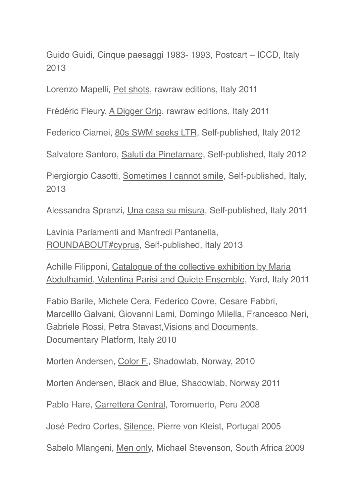Guido Guidi, Cinque paesaggi 1983- 1993, Postcart – ICCD, Italy 2013

Lorenzo Mapelli, Pet shots, rawraw editions, Italy 2011

Frédéric Fleury, A Digger Grip, rawraw editions, Italy 2011

Federico Ciamei, 80s SWM seeks LTR, Self-published, Italy 2012

Salvatore Santoro, Saluti da Pinetamare, Self-published, Italy 2012

Piergiorgio Casotti, Sometimes I cannot smile, Self-published, Italy, 2013

Alessandra Spranzi, Una casa su misura, Self-published, Italy 2011

Lavinia Parlamenti and Manfredi Pantanella, ROUNDABOUT#cyprus, Self-published, Italy 2013

Achille Filipponi, Catalogue of the collective exhibition by Maria Abdulhamid, Valentina Parisi and Quiete Ensemble, Yard, Italy 2011

Fabio Barile, Michele Cera, Federico Covre, Cesare Fabbri, Marcelllo Galvani, Giovanni Lami, Domingo Milella, Francesco Neri, Gabriele Rossi, Petra Stavast,Visions and Documents, Documentary Platform, Italy 2010

Morten Andersen, Color F., Shadowlab, Norway, 2010

Morten Andersen, Black and Blue, Shadowlab, Norway 2011

Pablo Hare, Carrettera Central, Toromuerto, Peru 2008

José Pedro Cortes, Silence, Pierre von Kleist, Portugal 2005

Sabelo Mlangeni, Men only, Michael Stevenson, South Africa 2009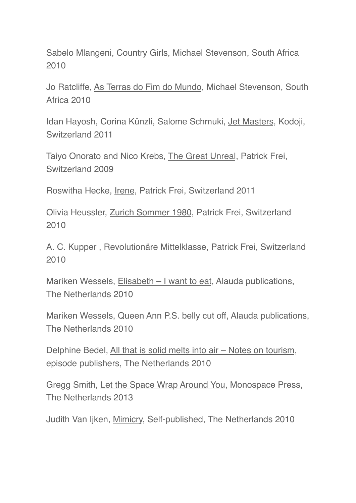Sabelo Mlangeni, Country Girls, Michael Stevenson, South Africa 2010

Jo Ratcliffe, As Terras do Fim do Mundo, Michael Stevenson, South Africa 2010

Idan Hayosh, Corina Künzli, Salome Schmuki, Jet Masters, Kodoji, Switzerland 2011

Taiyo Onorato and Nico Krebs, The Great Unreal, Patrick Frei, Switzerland 2009

Roswitha Hecke, Irene, Patrick Frei, Switzerland 2011

Olivia Heussler, Zurich Sommer 1980, Patrick Frei, Switzerland 2010

A. C. Kupper , Revolutionäre Mittelklasse, Patrick Frei, Switzerland 2010

Mariken Wessels, Elisabeth – I want to eat, Alauda publications, The Netherlands 2010

Mariken Wessels, Queen Ann P.S. belly cut off, Alauda publications, The Netherlands 2010

Delphine Bedel, All that is solid melts into air – Notes on tourism, episode publishers, The Netherlands 2010

Gregg Smith, Let the Space Wrap Around You, Monospace Press, The Netherlands 2013

Judith Van Ijken, Mimicry, Self-published, The Netherlands 2010